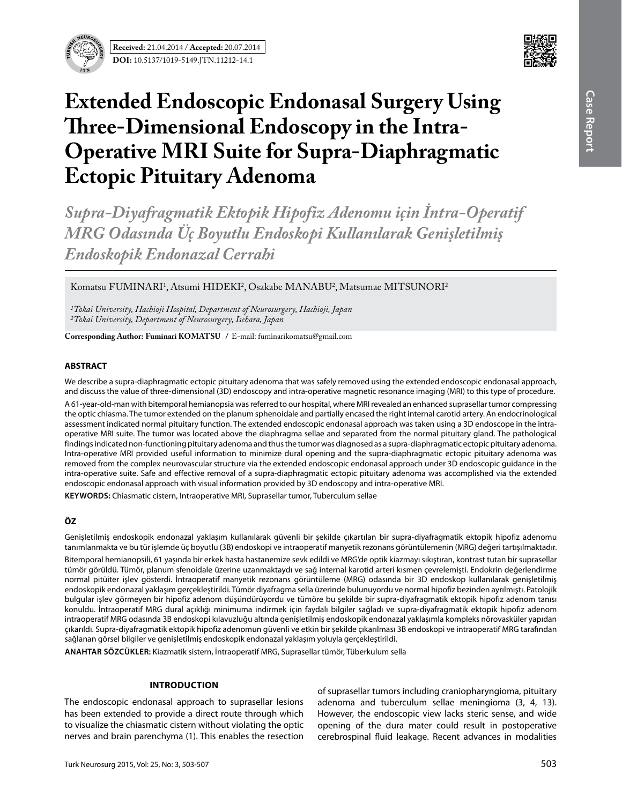



# **Extended Endoscopic Endonasal Surgery Using Three-Dimensional Endoscopy in the Intra-Operative MRI Suite for Supra-Diaphragmatic Ectopic Pituitary Adenoma**

*Supra-Diyafragmatik Ektopik Hipofiz Adenomu için İntra-Operatif MRG Odasında Üç Boyutlu Endoskopi Kullanılarak Genişletilmiş Endoskopik Endonazal Cerrahi*

Komatsu FUMINARI<sup>1</sup>, Atsumi HIDEKI<sup>2</sup>, Osakabe MANABU<sup>2</sup>, Matsumae MITSUNORI<sup>2</sup>

*1Tokai University, Hachioji Hospital, Department of Neurosurgery, Hachioji, Japan 2Tokai University, Department of Neurosurgery, Isehara, Japan*

**Corresponding Author: Fuminari Komatsu /** E-mail: fuminarikomatsu@gmail.com

# **ABSTRACT**

We describe a supra-diaphragmatic ectopic pituitary adenoma that was safely removed using the extended endoscopic endonasal approach, and discuss the value of three-dimensional (3D) endoscopy and intra-operative magnetic resonance imaging (MRI) to this type of procedure.

A 61-year-old-man with bitemporal hemianopsia was referred to our hospital, where MRI revealed an enhanced suprasellar tumor compressing the optic chiasma. The tumor extended on the planum sphenoidale and partially encased the right internal carotid artery. An endocrinological assessment indicated normal pituitary function. The extended endoscopic endonasal approach was taken using a 3D endoscope in the intraoperative MRI suite. The tumor was located above the diaphragma sellae and separated from the normal pituitary gland. The pathological findings indicated non-functioning pituitary adenoma and thus the tumor was diagnosed as a supra-diaphragmatic ectopic pituitary adenoma. Intra-operative MRI provided useful information to minimize dural opening and the supra-diaphragmatic ectopic pituitary adenoma was removed from the complex neurovascular structure via the extended endoscopic endonasal approach under 3D endoscopic guidance in the intra-operative suite. Safe and effective removal of a supra-diaphragmatic ectopic pituitary adenoma was accomplished via the extended endoscopic endonasal approach with visual information provided by 3D endoscopy and intra-operative MRI.

**Keywords:** Chiasmatic cistern, Intraoperative MRI, Suprasellar tumor, Tuberculum sellae

# **ÖZ**

Genişletilmiş endoskopik endonazal yaklaşım kullanılarak güvenli bir şekilde çıkartılan bir supra-diyafragmatik ektopik hipofiz adenomu tanımlanmakta ve bu tür işlemde üç boyutlu (3B) endoskopi ve intraoperatif manyetik rezonans görüntülemenin (MRG) değeri tartışılmaktadır.

Bitemporal hemianopsili, 61 yaşında bir erkek hasta hastanemize sevk edildi ve MRG'de optik kiazmayı sıkıştıran, kontrast tutan bir suprasellar tümör görüldü. Tümör, planum sfenoidale üzerine uzanmaktaydı ve sağ internal karotid arteri kısmen çevrelemişti. Endokrin değerlendirme normal pitüiter işlev gösterdi. İntraoperatif manyetik rezonans görüntüleme (MRG) odasında bir 3D endoskop kullanılarak genişletilmiş endoskopik endonazal yaklaşım gerçekleştirildi. Tümör diyafragma sella üzerinde bulunuyordu ve normal hipofiz bezinden ayrılmıştı. Patolojik bulgular işlev görmeyen bir hipofiz adenom düşündürüyordu ve tümöre bu şekilde bir supra-diyafragmatik ektopik hipofiz adenom tanısı konuldu. İntraoperatif MRG dural açıklığı minimuma indirmek için faydalı bilgiler sağladı ve supra-diyafragmatik ektopik hipofiz adenom intraoperatif MRG odasında 3B endoskopi kılavuzluğu altında genişletilmiş endoskopik endonazal yaklaşımla kompleks nörovasküler yapıdan çıkarıldı. Supra-diyafragmatik ektopik hipofiz adenomun güvenli ve etkin bir şekilde çıkarılması 3B endoskopi ve intraoperatif MRG tarafından sağlanan görsel bilgiler ve genişletilmiş endoskopik endonazal yaklaşım yoluyla gerçekleştirildi.

**ANAHTAR SÖZCÜKLER:** Kiazmatik sistern, İntraoperatif MRG, Suprasellar tümör, Tüberkulum sella

### **Introduction**

The endoscopic endonasal approach to suprasellar lesions has been extended to provide a direct route through which to visualize the chiasmatic cistern without violating the optic nerves and brain parenchyma (1). This enables the resection of suprasellar tumors including craniopharyngioma, pituitary adenoma and tuberculum sellae meningioma (3, 4, 13). However, the endoscopic view lacks steric sense, and wide opening of the dura mater could result in postoperative cerebrospinal fluid leakage. Recent advances in modalities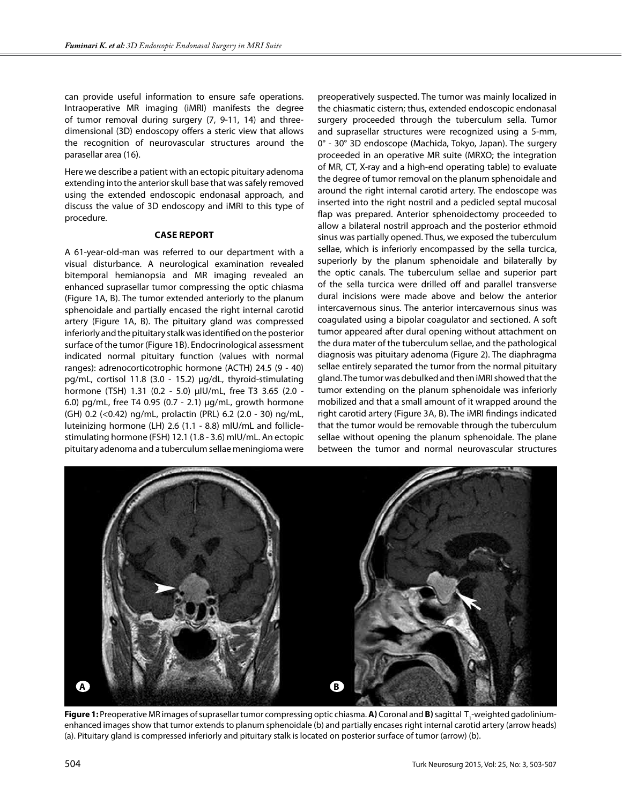can provide useful information to ensure safe operations. Intraoperative MR imaging (iMRI) manifests the degree of tumor removal during surgery (7, 9-11, 14) and threedimensional (3D) endoscopy offers a steric view that allows the recognition of neurovascular structures around the parasellar area (16).

Here we describe a patient with an ectopic pituitary adenoma extending into the anterior skull base that was safely removed using the extended endoscopic endonasal approach, and discuss the value of 3D endoscopy and iMRI to this type of procedure.

### **Case report**

A 61-year-old-man was referred to our department with a visual disturbance. A neurological examination revealed bitemporal hemianopsia and MR imaging revealed an enhanced suprasellar tumor compressing the optic chiasma (Figure 1A, B). The tumor extended anteriorly to the planum sphenoidale and partially encased the right internal carotid artery (Figure 1A, B). The pituitary gland was compressed inferiorly and the pituitary stalk was identified on the posterior surface of the tumor (Figure 1B). Endocrinological assessment indicated normal pituitary function (values with normal ranges): adrenocorticotrophic hormone (ACTH) 24.5 (9 - 40) pg/mL, cortisol 11.8 (3.0 - 15.2) μg/dL, thyroid-stimulating hormone (TSH) 1.31 (0.2 - 5.0) μIU/mL, free T3 3.65 (2.0 - 6.0) pg/mL, free T4 0.95 (0.7 - 2.1) μg/mL, growth hormone (GH) 0.2 (<0.42) ng/mL, prolactin (PRL) 6.2 (2.0 - 30) ng/mL, luteinizing hormone (LH) 2.6 (1.1 - 8.8) mIU/mL and folliclestimulating hormone (FSH) 12.1 (1.8 - 3.6) mIU/mL. An ectopic pituitary adenoma and a tuberculum sellae meningioma were

preoperatively suspected. The tumor was mainly localized in the chiasmatic cistern; thus, extended endoscopic endonasal surgery proceeded through the tuberculum sella. Tumor and suprasellar structures were recognized using a 5-mm, 0° - 30° 3D endoscope (Machida, Tokyo, Japan). The surgery proceeded in an operative MR suite (MRXO; the integration of MR, CT, X-ray and a high-end operating table) to evaluate the degree of tumor removal on the planum sphenoidale and around the right internal carotid artery. The endoscope was inserted into the right nostril and a pedicled septal mucosal flap was prepared. Anterior sphenoidectomy proceeded to allow a bilateral nostril approach and the posterior ethmoid sinus was partially opened. Thus, we exposed the tuberculum sellae, which is inferiorly encompassed by the sella turcica, superiorly by the planum sphenoidale and bilaterally by the optic canals. The tuberculum sellae and superior part of the sella turcica were drilled off and parallel transverse dural incisions were made above and below the anterior intercavernous sinus. The anterior intercavernous sinus was coagulated using a bipolar coagulator and sectioned. A soft tumor appeared after dural opening without attachment on the dura mater of the tuberculum sellae, and the pathological diagnosis was pituitary adenoma (Figure 2). The diaphragma sellae entirely separated the tumor from the normal pituitary gland. The tumor was debulked and then iMRI showed that the tumor extending on the planum sphenoidale was inferiorly mobilized and that a small amount of it wrapped around the right carotid artery (Figure 3A, B). The iMRI findings indicated that the tumor would be removable through the tuberculum sellae without opening the planum sphenoidale. The plane between the tumor and normal neurovascular structures



**Figure 1:** Preoperative MR images of suprasellar tumor compressing optic chiasma. **A**) Coronal and **B)** sagittal T<sub>1</sub>-weighted gadoliniumenhanced images show that tumor extends to planum sphenoidale (b) and partially encases right internal carotid artery (arrow heads) (a). Pituitary gland is compressed inferiorly and pituitary stalk is located on posterior surface of tumor (arrow) (b).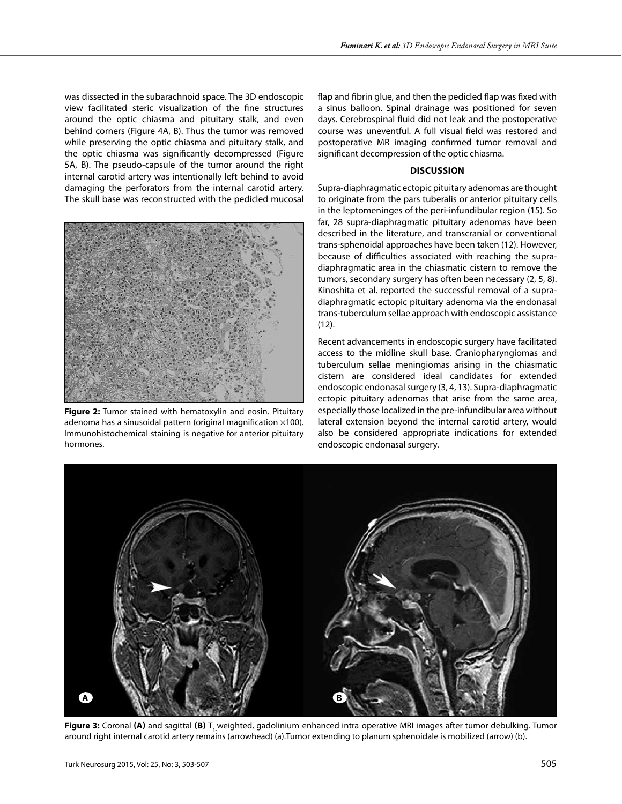was dissected in the subarachnoid space. The 3D endoscopic view facilitated steric visualization of the fine structures around the optic chiasma and pituitary stalk, and even behind corners (Figure 4A, B). Thus the tumor was removed while preserving the optic chiasma and pituitary stalk, and the optic chiasma was significantly decompressed (Figure 5A, B). The pseudo-capsule of the tumor around the right internal carotid artery was intentionally left behind to avoid damaging the perforators from the internal carotid artery. The skull base was reconstructed with the pedicled mucosal



**Figure 2:** Tumor stained with hematoxylin and eosin. Pituitary adenoma has a sinusoidal pattern (original magnification ×100). Immunohistochemical staining is negative for anterior pituitary hormones.

flap and fibrin glue, and then the pedicled flap was fixed with a sinus balloon. Spinal drainage was positioned for seven days. Cerebrospinal fluid did not leak and the postoperative course was uneventful. A full visual field was restored and postoperative MR imaging confirmed tumor removal and significant decompression of the optic chiasma.

# **Discussion**

Supra-diaphragmatic ectopic pituitary adenomas are thought to originate from the pars tuberalis or anterior pituitary cells in the leptomeninges of the peri-infundibular region (15). So far, 28 supra-diaphragmatic pituitary adenomas have been described in the literature, and transcranial or conventional trans-sphenoidal approaches have been taken (12). However, because of difficulties associated with reaching the supradiaphragmatic area in the chiasmatic cistern to remove the tumors, secondary surgery has often been necessary (2, 5, 8). Kinoshita et al. reported the successful removal of a supradiaphragmatic ectopic pituitary adenoma via the endonasal trans-tuberculum sellae approach with endoscopic assistance (12).

Recent advancements in endoscopic surgery have facilitated access to the midline skull base. Craniopharyngiomas and tuberculum sellae meningiomas arising in the chiasmatic cistern are considered ideal candidates for extended endoscopic endonasal surgery (3, 4, 13). Supra-diaphragmatic ectopic pituitary adenomas that arise from the same area, especially those localized in the pre-infundibular area without lateral extension beyond the internal carotid artery, would also be considered appropriate indications for extended endoscopic endonasal surgery.



Figure 3: Coronal (A) and sagittal (B) T, weighted, gadolinium-enhanced intra-operative MRI images after tumor debulking. Tumor around right internal carotid artery remains (arrowhead) (a).Tumor extending to planum sphenoidale is mobilized (arrow) (b).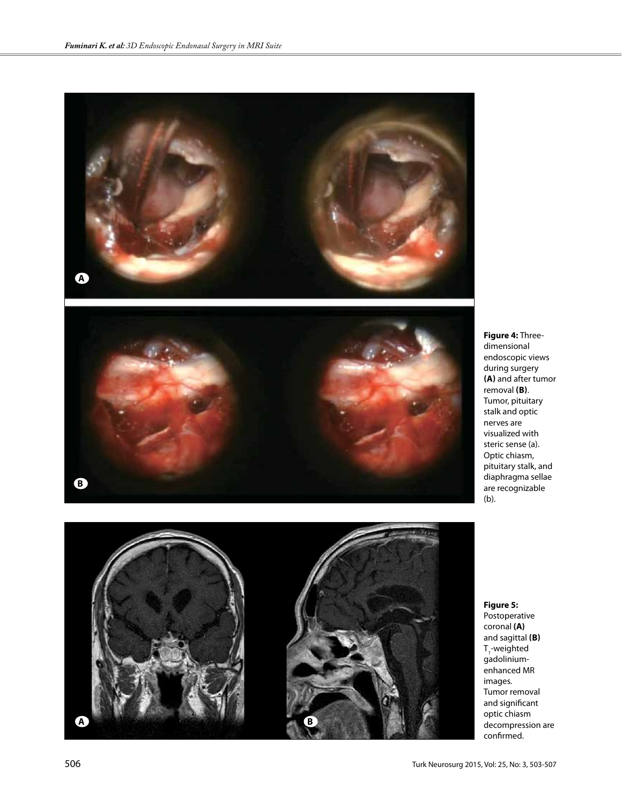

**Figure 4:** Threedimensional endoscopic views during surgery **(a)** and after tumor removal **(b)**. Tumor, pituitary stalk and optic nerves are visualized with steric sense (a). Optic chiasm, pituitary stalk, and diaphragma sellae are recognizable (b).

Postoperative coronal **(a)**  and sagittal **(b)**  $T11$ -weighted gadoliniumenhanced MR images. Tumor removal and significant optic chiasm decompression are confirmed.